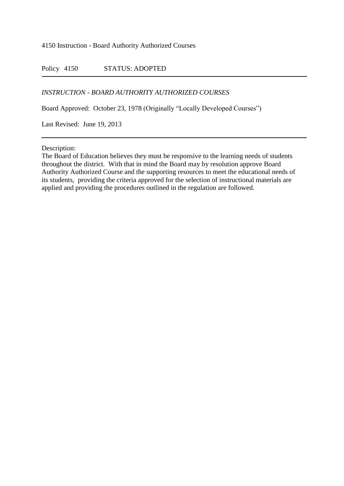4150 Instruction - Board Authority Authorized Courses

Policy 4150 STATUS: ADOPTED

## *INSTRUCTION - BOARD AUTHORITY AUTHORIZED COURSES*

Board Approved: October 23, 1978 (Originally "Locally Developed Courses")

Last Revised: June 19, 2013

Description:

The Board of Education believes they must be responsive to the learning needs of students throughout the district. With that in mind the Board may by resolution approve Board Authority Authorized Course and the supporting resources to meet the educational needs of its students, providing the criteria approved for the selection of instructional materials are applied and providing the procedures outlined in the regulation are followed.